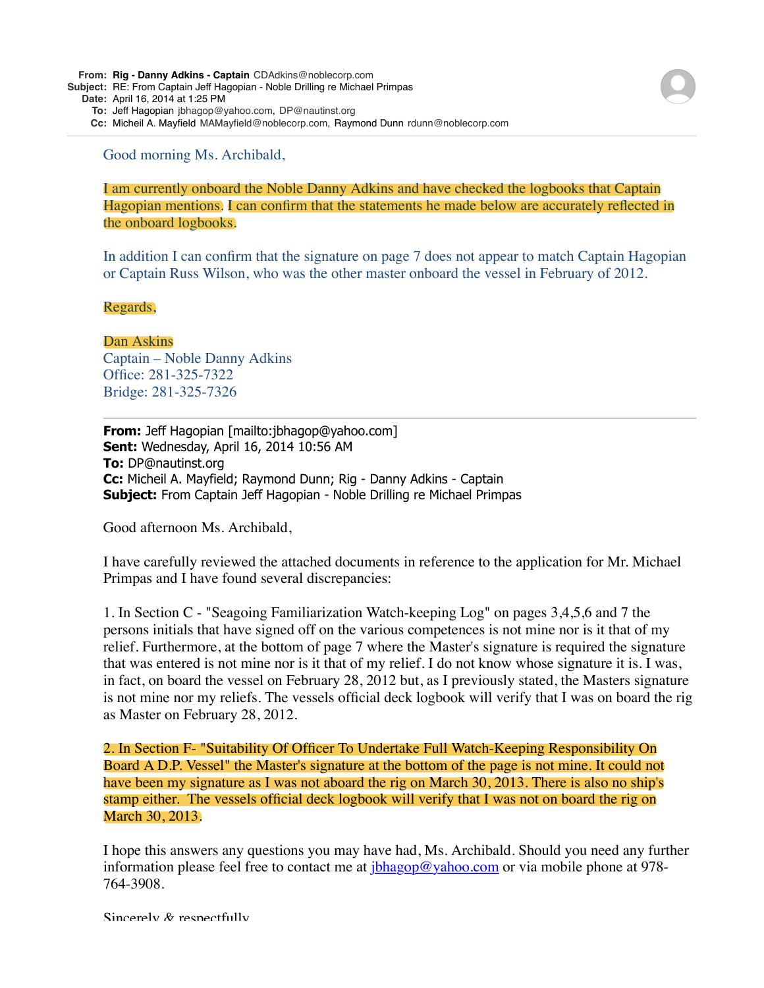**From: Rig - Danny Adkins - Captain** CDAdkins@noblecorp.com

**Subject:** RE: From Captain Jeff Hagopian - Noble Drilling re Michael Primpas

**Date:** April 16, 2014 at 1:25 PM

**To:** Jeff Hagopian jbhagop@yahoo.com, DP@nautinst.org

**Cc:** Micheil A. Mayfield MAMayfield@noblecorp.com, Raymond Dunn rdunn@noblecorp.com

Good morning Ms. Archibald,

I am currently onboard the Noble Danny Adkins and have checked the logbooks that Captain Hagopian mentions. I can confirm that the statements he made below are accurately reflected in the onboard logbooks.

In addition I can confirm that the signature on page 7 does not appear to match Captain Hagopian or Captain Russ Wilson, who was the other master onboard the vessel in February of 2012.

## Regards,

Dan Askins

Captain – Noble Danny Adkins Office: 281-325-7322 Bridge: 281-325-7326

**From:** Jeff Hagopian [mailto:jbhagop@yahoo.com] **Sent:** Wednesday, April 16, 2014 10:56 AM **To:** DP@nautinst.org **Cc:** Micheil A. Mayfield; Raymond Dunn; Rig - Danny Adkins - Captain **Subject:** From Captain Jeff Hagopian - Noble Drilling re Michael Primpas

Good afternoon Ms. Archibald,

I have carefully reviewed the attached documents in reference to the application for Mr. Michael Primpas and I have found several discrepancies:

1. In Section C - "Seagoing Familiarization Watch-keeping Log" on pages 3,4,5,6 and 7 the persons initials that have signed off on the various competences is not mine nor is it that of my relief. Furthermore, at the bottom of page 7 where the Master's signature is required the signature that was entered is not mine nor is it that of my relief. I do not know whose signature it is. I was, in fact, on board the vessel on February 28, 2012 but, as I previously stated, the Masters signature is not mine nor my reliefs. The vessels official deck logbook will verify that I was on board the rig as Master on February 28, 2012.

2. In Section F- "Suitability Of Officer To Undertake Full Watch-Keeping Responsibility On Board A D.P. Vessel" the Master's signature at the bottom of the page is not mine. It could not have been my signature as I was not aboard the rig on March 30, 2013. There is also no ship's stamp either. The vessels official deck logbook will verify that I was not on board the rig on March 30, 2013.

I hope this answers any questions you may have had, Ms. Archibald. Should you need any further information please feel free to contact me at  $\frac{i \text{bhagop@yahoo.com}}{i \text{bhagop@yahoo.com}}$  or via mobile phone at 978-764-3908.

Sincerely  $\&$  respectfully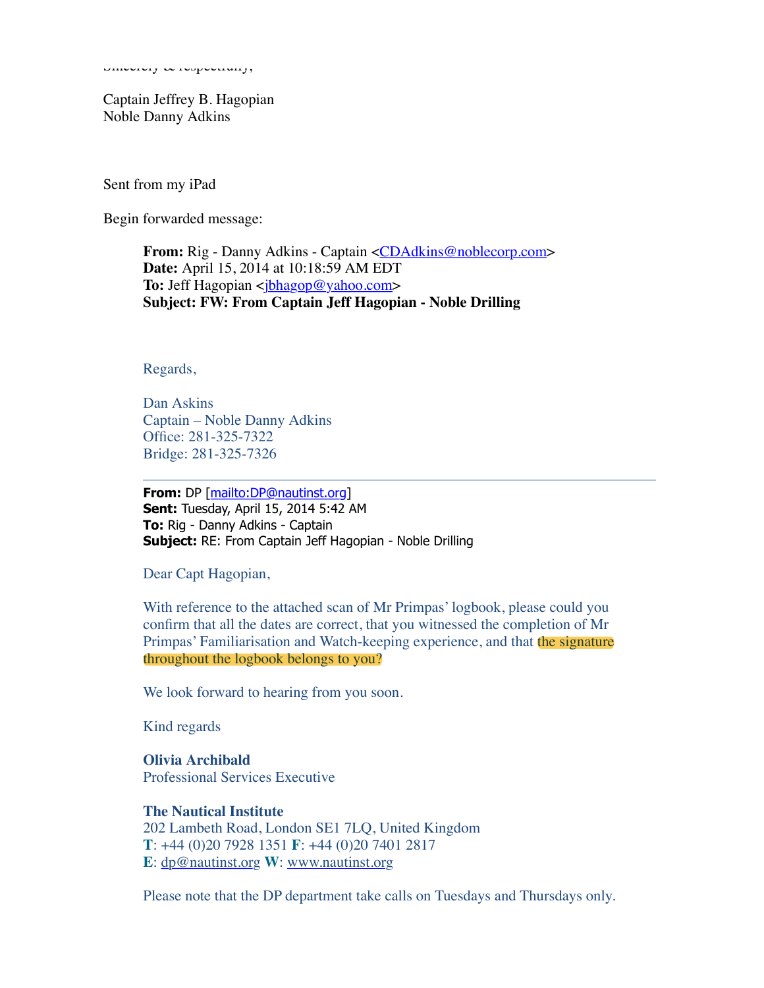Sincerely & respectivity,

Captain Jeffrey B. Hagopian Noble Danny Adkins

Sent from my iPad

Begin forwarded message:

**From:** Rig - Danny Adkins - Captain <**CDAdkins@noblecorp.com> Date:** April 15, 2014 at 10:18:59 AM EDT **To:** Jeff Hagopian < $\frac{i}{b}$ hagop@yahoo.com> **Subject: FW: From Captain Jeff Hagopian - Noble Drilling**

Regards,

Dan Askins Captain – Noble Danny Adkins Office: 281-325-7322 Bridge: 281-325-7326

**From:** DP [[mailto:DP@nautinst.org\]](mailto:DP@nautinst.org) **Sent:** Tuesday, April 15, 2014 5:42 AM **To:** Rig - Danny Adkins - Captain **Subject:** RE: From Captain Jeff Hagopian - Noble Drilling

Dear Capt Hagopian,

With reference to the attached scan of Mr Primpas' logbook, please could you confirm that all the dates are correct, that you witnessed the completion of Mr Primpas' Familiarisation and Watch-keeping experience, and that the signature throughout the logbook belongs to you?

We look forward to hearing from you soon.

Kind regards

**Olivia Archibald** Professional Services Executive

**The Nautical Institute** 202 Lambeth Road, London SE1 7LQ, United Kingdom **T**: +44 (0)20 7928 1351 **F**: +44 (0)20 7401 2817 **E**: [dp@nautinst.org](mailto:dp@nautinst.org) **W**: [www.nautinst.org](http://www.nautinst.org/)

Please note that the DP department take calls on Tuesdays and Thursdays only.